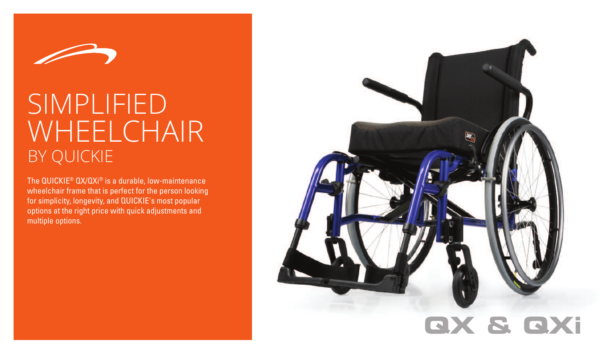

# SIMPLIFIED WHEELCHAIR BY QUICKIE

The  $\mathsf{QUICKIE}^{\circledast}\mathsf{QX}/\mathsf{QXi}^{\circledast}$  is a durable, low-maintenance wheelchair frame that is perfect for the person looking for simplicity, longevity, and QUICKIE's most popular options at the right price with quick adjustments and multiple options.